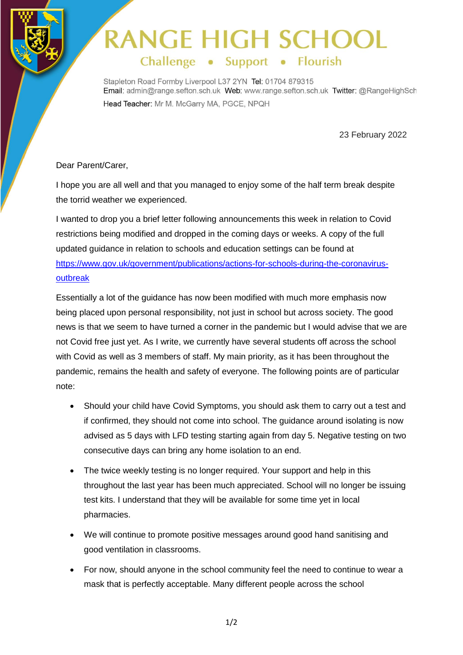## **RANGE HIGH SCH** Challenge . Support . Flourish

Stapleton Road Formby Liverpool L37 2YN Tel: 01704 879315 Email: admin@range.sefton.sch.uk Web: www.range.sefton.sch.uk Twitter: @RangeHighSch Head Teacher: Mr M. McGarry MA, PGCE, NPQH

23 February 2022

## Dear Parent/Carer,

I hope you are all well and that you managed to enjoy some of the half term break despite the torrid weather we experienced.

I wanted to drop you a brief letter following announcements this week in relation to Covid restrictions being modified and dropped in the coming days or weeks. A copy of the full updated guidance in relation to schools and education settings can be found at [https://www.gov.uk/government/publications/actions-for-schools-during-the-coronavirus](https://www.gov.uk/government/publications/actions-for-schools-during-the-coronavirus-outbreak)[outbreak](https://www.gov.uk/government/publications/actions-for-schools-during-the-coronavirus-outbreak)

Essentially a lot of the guidance has now been modified with much more emphasis now being placed upon personal responsibility, not just in school but across society. The good news is that we seem to have turned a corner in the pandemic but I would advise that we are not Covid free just yet. As I write, we currently have several students off across the school with Covid as well as 3 members of staff. My main priority, as it has been throughout the pandemic, remains the health and safety of everyone. The following points are of particular note:

- Should your child have Covid Symptoms, you should ask them to carry out a test and if confirmed, they should not come into school. The guidance around isolating is now advised as 5 days with LFD testing starting again from day 5. Negative testing on two consecutive days can bring any home isolation to an end.
- The twice weekly testing is no longer required. Your support and help in this throughout the last year has been much appreciated. School will no longer be issuing test kits. I understand that they will be available for some time yet in local pharmacies.
- We will continue to promote positive messages around good hand sanitising and good ventilation in classrooms.
- For now, should anyone in the school community feel the need to continue to wear a mask that is perfectly acceptable. Many different people across the school